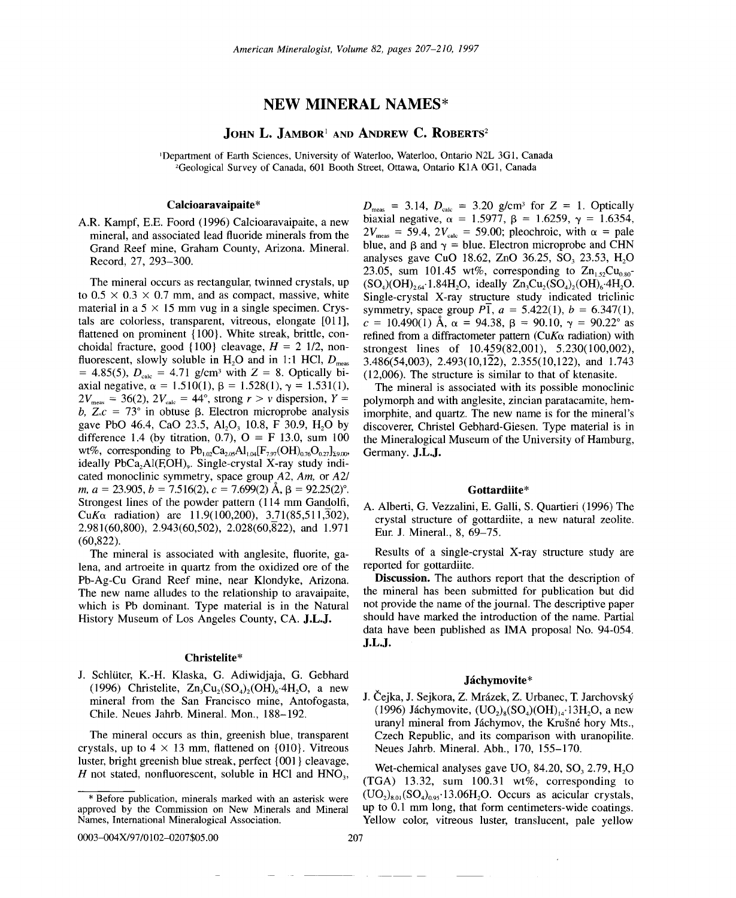# **NEW MINERAL** NAMES\*

## JOHN L. JAMBOR<sup>1</sup> AND ANDREW C. ROBERTS<sup>2</sup>

]Department of Earth Sciences, University of Waterloo, Waterloo, Ontario N2L 3GI, Canada 2Geological Survey of Canada, 601 Booth Street, Ottawa, Ontario KIA OGI, Canada

### Calcioaravaipaite\*

A.R. Kampf, E.E. Foord (1996) Calcioaravaipaite, a new mineral, and associated lead fluoride minerals from the Grand Reef mine, Graham County, Arizona. Mineral. Record, 27, 293-300.

The mineral occurs as rectangular, twinned crystals, up to  $0.5 \times 0.3 \times 0.7$  mm, and as compact, massive, white material in a  $5 \times 15$  mm vug in a single specimen. Crystals are colorless, transparent, vitreous, elongate [011], flattened on prominent {100}. White streak, brittle, conchoidal fracture, good  $\{100\}$  cleavage,  $H = 2 \frac{1}{2}$ , nonfluorescent, slowly soluble in H<sub>2</sub>O and in 1:1 HCl,  $D_{\text{meas}}$  $= 4.85(5)$ ,  $D_{\text{calc}} = 4.71$  *g/cm<sup>3</sup>* with  $Z = 8$ . Optically biaxial negative,  $\alpha = 1.510(1)$ ,  $\beta = 1.528(1)$ ,  $\gamma = 1.531(1)$  $2V_{\text{meas}} = 36(2), 2V_{\text{calc}} = 44^{\circ}, \text{ strong } r > v \text{ dispersion}, Y =$ *b*,  $Z_c = 73^\circ$  in obtuse  $\beta$ . Electron microprobe analysis gave PbO 46.4, CaO 23.5, Al<sub>2</sub>O<sub>3</sub> 10.8, F 30.9, H<sub>2</sub>O by difference 1.4 (by titration, 0.7),  $Q = F$  13.0, sum 100<br>wt% corresponding to Pb. Ca. Al. IE. (OH),  $Q = 1$ wt%, corresponding to  $Pb_{1,02}Ca_{2,05}Al_{1,04}[F_{7,97}(OH)_{0,76}O_{0,27}]_{\text{29,00}}$ ideally  $PbCa<sub>2</sub>Al(F<sub>1</sub>OH)<sub>9</sub>$ . Single-crystal X-ray study indicated monoclinic symmetry, space group *A2, Am,* or *A21 m,*  $a = 23.905$ ,  $b = 7.516(2)$ ,  $c = 7.699(2)$   $\AA$ ,  $\beta = 92.25(2)$ °. Strongest lines of the powder pattern  $(114 \text{ mm}$  Gandolfi,  $CuK\alpha$  radiation) are 11.9(100,200), 3.71(85,511,302), 2.981(60,800), 2.943(60,502), 2.028(60,822), and 1.971 (60,822).

The mineral is associated with anglesite, fluorite, galena, and artroeite in quartz from the oxidized ore of the Pb-Ag-Cu Grand Reef mine, near Klondyke, Arizona. The new name alludes to the relationship to aravaipaite, which is Pb dominant. Type material is in the Natural History Museum of Los Angeles County, CA. J.L.J.

#### Christelite\*

J. Schlüter, K.-H. Klaska, G. Adiwidjaja, G. Gebhard (1996) Christelite,  $Zn_3Cu_2(SO_4)_2(OH)_6.4H_2O$ , a new mineral from the San Francisco mine, Antofogasta, Chile. Neues Jahrb. Mineral. Mon., 188-192.

The mineral occurs as thin, greenish blue, transparent crystals, up to  $4 \times 13$  mm, flattened on {010}. Vitreous luster, bright greenish blue streak, perfect {00l} cleavage,  $H$  not stated, nonfluorescent, soluble in HCl and  $HNO<sub>3</sub>$ ,

0003-004X/97/0102-0207\$05.00

----

 $D_{\text{meas}} = 3.14, D_{\text{calc}} = 3.20 \text{ g/cm}^3 \text{ for } Z = 1. \text{ Optically}$ biaxial negative,  $\alpha = 1.5977$ ,  $\beta = 1.6259$ ,  $\gamma = 1.6354$ ,  $2V_{\text{meas}} = 59.4$ ,  $2V_{\text{calc}} = 59.00$ ; pleochroic, with  $\alpha =$  pale blue, and  $\beta$  and  $\gamma =$  blue. Electron microprobe and CHN analyses gave CuO 18.62, ZnO 36.25, SO, 23.53, H<sub>2</sub>O 23.05, sum 101.45 wt%, corresponding to  $\text{Zn}_{1.52}\text{Cu}_{0.80}$ - $(SO<sub>4</sub>)(OH)<sub>264</sub>·1.84H<sub>2</sub>O$ , ideally  $Zn<sub>3</sub>Cu<sub>2</sub>(SO<sub>4</sub>)<sub>2</sub>(OH)<sub>6</sub>·4H<sub>2</sub>O$ . Single-crystal X-ray structure study indicated triclinic symmetry, space group  $P\bar{1}$ ,  $a = 5.422(1)$ ,  $b = 6.347(1)$ ,  $c = 10.490(1)$  Å,  $\alpha = 94.38$ ,  $\beta = 90.10$ ,  $\gamma = 90.22^{\circ}$  as refined from a diffractometer pattern *(CuKa* radiation) with strongest lines of  $10.459(82,001)$ ,  $5.230(100,002)$ , 3.486(54,003), 2.493(10,122), 2.355(10,122), and 1.743 (12,006). The structure is similar to that of ktenasite.

The mineral is associated with its possible monoclinic polymorph and with anglesite, zincian paratacamite, hemimorphite, and quartz. The new name is for the mineral's discoverer, Christel Gebhard-Giesen. Type material is in the Mineralogical Museum of the University of Hamburg, Germany. J.L.J.

#### Gottardiite\*

A. Alberti, G. Vezzalini, E. Galli, S. Quartieri (1996) The crystal structure of gottardiite, a new natural zeolite. Eur. J. Mineral., 8, 69-75.

Results of a single-crystal X-ray structure study are reported for gottardiite.

Discussion. The authors report that the description of the mineral has been submitted for publication but did not provide the name of the journal. The descriptive paper should have marked the introduction of the name. Partial data have been published as IMA proposal No. 94-054. J.L.J.

#### Jáchymovite\*

J. Čejka, J. Sejkora, Z. Mrázek, Z. Urbanec, T. Jarchovský (1996) Jáchymovite,  $(UQ<sub>2</sub>)(SO<sub>4</sub>)(OH)<sub>14</sub>$ 13H<sub>2</sub>O, a new uranyl mineral from Jáchymov, the Krušné hory Mts., Czech Republic, and its comparison with uranopilite. Neues Jahrb. Mineral. Abh., 170, 155-170.

Wet-chemical analyses gave  $UO$ ,  $84.20$ ,  $SO$ ,  $2.79$ ,  $H<sub>2</sub>O$ (TGA) 13.32, sum 100.31 wt%, corresponding to  $(UO<sub>2</sub>)<sub>8.01</sub>(SO<sub>4</sub>)<sub>0.95</sub>$ . 13.06H<sub>2</sub>O. Occurs as acicular crystals, up to 0.1 mm long, that form centimeters-wide coatings. Yellow color, vitreous luster, translucent, pale yellow

approved by the Commission on New Minerals and Mineral Before publication, minerals marked with an asterisk were Names, International Mineralogical Association.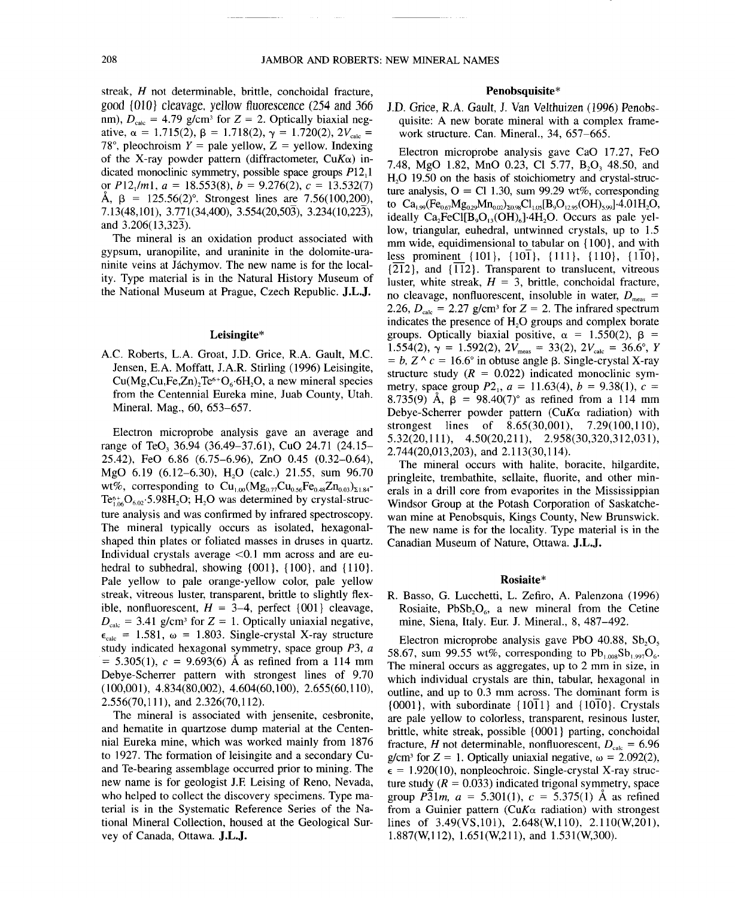streak, *H* not determinable, brittle, conchoidal fracture, good {DID} cleavage, yellow fluorescence (254 and 366 nm),  $D_{\text{calc}} = 4.79$  g/cm<sup>3</sup> for  $Z = 2$ . Optically biaxial negative,  $\alpha = 1.715(2), \beta = 1.718(2), \gamma = 1.720(2), 2V_{\text{calc}} =$ 78°, pleochroism  $Y =$  pale yellow,  $Z =$  yellow. Indexing of the X-ray powder pattern (diffractometer, *CuKa)* indicated monoclinic symmetry, possible space groups P12,1 or  $P12_1/m1$ ,  $a = 18.553(8)$ ,  $b = 9.276(2)$ ,  $c = 13.532(7)$  $\AA$ ,  $\beta$  = 125.56(2)°. Strongest lines are 7.56(100,200), 7.13(48,101), 3.771(34,400), 3.554(20,503), 3.234(10,223), and  $3.206(13.32\overline{3})$ .

The mineral is an oxidation product associated with gypsum, uranopilite, and uraninite in the dolomite-uraninite veins at Jáchymov. The new name is for the locality. Type material is in the Natural History Museum of the Nationa] Museum at Prague, Czech Republic. **J.L.J.**

#### Leisingite\*

A.C. Roberts, L.A. Groat, J.D. Grice, R.A. Gault, M.C. Jensen, E.A. Moffatt, J.A.R. Stirling (1996) Leisingite,  $Cu(Mg,Cu,Fe,Zn)$ ,  $Te<sup>6+</sup>O<sub>6</sub>·6H<sub>2</sub>O$ , a new mineral species from the Centennial Eureka mine, Juab County, Utah. Mineral. Mag., 60, 653-657.

Electron microprobe analysis gave an average and range of TeO, 36.94 (36.49-37.61), CuO 24.71 (24.15- 25.42), FeO 6.86 (6.75-6.96), ZnO 0.45 (0.32-0.64), MgO  $6.19$   $(6.12-6.30)$ , H<sub>2</sub>O  $(calc.)$  21.55, sum 96.70 wt%, corresponding to  $Cu_{1.00}(Mg_{0.77}Cu_{0.56}Fe_{0.48}Zn_{0.03})_{\Sigma1.84}$ - $Te_{106}^{6+}O_{6.02}$ .5.98H<sub>2</sub>O; H<sub>2</sub>O was determined by crystal-structure analysis and was confirmed by infrared spectroscopy. The mineral typically occurs as isolated, hexagona] shaped thin plates or foliated masses in druses in quartz. Individual crystals average  $\leq 0.1$  mm across and are euhedral to subhedral, showing  $\{001\}$ ,  $\{100\}$ , and  $\{110\}$ . Pale yellow to pale orange-yellow color, pale yellow streak, vitreous luster, transparent, brittle to slightly flexible, nonfluorescent,  $H = 3-4$ , perfect  $\{001\}$  cleavage,  $D_{\text{calc}} = 3.41$  g/cm<sup>3</sup> for  $Z = 1$ . Optically uniaxial negative,  $\epsilon_{\text{calc}}$  = 1.581,  $\omega$  = 1.803. Single-crystal X-ray structure study indicated hexagonal symmetry, space group *P3, a*  $= 5.305(1)$ ,  $c = 9.693(6)$  Å as refined from a 114 mm Debye-Scherrer pattern with strongest lines of 9.70 (100,001), 4.834(80,002), 4.604(60,100), 2.655(60,110), 2.556(70,111), and 2.326(70,112).

The mineral is associated with jensenite, cesbronite, and hematite in quartzose dump material at the Centennia] Eureka mine, which was worked mainly from 1876 to 1927. The formation of leisingite and a secondary Cuand Te-bearing assemblage occurred prior to mining. The new name is for geologist 1.F. Leising of Reno, Nevada, who helped to collect the discovery specimens. Type material is in the Systematic Reference Series of the National Mineral Collection, housed at the Geological Survey of Canada, Ottawa. **J.L.J.**

## Penobsquisite\*

J.D. Grice, RA. Gault, J. Van Velthuizen (1996) Penobsquisite: A new borate mineral with a complex framework structure. Can. Mineral., 34, 657-665.

Electron microprobe analysis gave CaO 17.27, FeO 7.48, MgO 1.82, MnO 0.23, Cl 5.77, B<sub>2</sub>O<sub>2</sub> 48.50, and H<sub>2</sub>O 19.50 on the basis of stoichiometry and crystal-structure analysis,  $Q = Cl 1.30$ , sum 99.29 wt%, corresponding to  $Ca$  (Fe Mg Mn), Cl IBO (OH) 1.4.01H C to  $Ca_{1,99}(Fe_{0.67}Mg_{0.29}Mn_{0.02})_{\Sigma 0.98}Cl_{1.05}[B_9O_{12,95}(OH)_{5,99}]$ <sup>-4</sup>.01H<sub>2</sub>O, ideally  $Ca<sub>2</sub>FeCl[B<sub>9</sub>O<sub>13</sub>(OH)<sub>6</sub>]+4H<sub>2</sub>O$ . Occurs as pale yellow, triangular, euhedra], untwinned crystals, up to 1.5 mm wide, equidimensional to tabular on  ${100}$ , and with less prominent  $\{101\}$ ,  $\{10\}$ ,  $\{111\}$ ,  $\{110\}$ ,  $\{1\overline{10}\}$ , {212}, and *{U2}.* Transparent to translucent, vitreous luster, white streak,  $H = 3$ , brittle, conchoidal fracture, no cleavage, nonfluorescent, insoluble in water,  $D_{\text{meas}}=$ 2.26,  $D_{\text{calc}} = 2.27$  g/cm<sup>3</sup> for  $Z = 2$ . The infrared spectrum indicates the presence of  $H_2O$  groups and complex borate groups. Optically biaxial positive,  $\alpha = 1.550(2)$ ,  $\beta =$  $1.554(2)$ ,  $\gamma = 1.592(2)$ ,  $2V_{\text{meas}} = 33(2)$ ,  $2V_{\text{calc}} = 36.6^{\circ}$ , *Y*  $= b$ ,  $Z \wedge c = 16.6^{\circ}$  in obtuse angle  $\beta$ . Single-crystal X-ray structure study  $(R = 0.022)$  indicated monoclinic symmetry, space group  $P2_1$ ,  $a = 11.63(4)$ ,  $b = 9.38(1)$ ,  $c =$ 8.735(9) Å,  $\beta$  = 98.40(7)° as refined from a 114 mm Debye-Scherrer powder pattern *(CuKa* radiation) with strongest lines of 8.65(30,001), 7.29(100,110), 5.32(20,111), 4.50(20,211), 2.958(30,320,312,031), 2.744(20,013,203), and 2.113(30,114).

The mineral occurs with halite, boracite, hilgardite, pringleite, trembathite, sellaite, fluorite, and other minerals in a drill core from evaporites in the Mississippian Windsor Group at the Potash Corporation of Saskatchewan mine at Penobsquis, Kings County, New Brunswick. The new name is for the locality. Type material is in the Canadian Museum of Nature, Ottawa. **J.L.J.**

#### Rosiaite\*

R. Basso, G. Lucchetti, L. Zefiro, A. Palenzona (1996) Rosiaite,  $PbSb, O<sub>6</sub>$ , a new mineral from the Cetine mine, Siena, Italy. Eur. J. Mineral., 8, 487-492.

Electron microprobe analysis gave PbO 40.88,  $Sb, O,$ 58.67, sum 99.55 wt%, corresponding to  $Pb_{1.008}Sb_{1.997}O_6$ . The mineral occurs as aggregates, up to 2 mm in size, in which individual crystals are thin, tabular, hexagonal in outline, and up to 0.3 mm across. The dominant form is  ${0001}$ , with subordinate  ${10\overline{1}1}$  and  ${10\overline{1}0}$ . Crystals are pale yellow to colorless, transparent, resinous luster, brittle, white streak, possible {0001} parting, conchoidal fracture, *H* not determinable, nonfluorescent,  $D_{\text{calc}} = 6.96$  $g/cm^3$  for  $Z = 1$ . Optically uniaxial negative,  $\omega = 2.092(2)$ ,  $\epsilon = 1.920(10)$ , nonpleochroic. Single-crystal X-ray structure study  $(R = 0.033)$  indicated trigonal symmetry, space group  $P\overline{3}1m$ ,  $a = 5.301(1)$ ,  $c = 5.375(1)$  Å as refined from a Guinier pattern *(CuK* $\alpha$  radiation) with strongest lines of  $3.49(VS,101)$ ,  $2.648(W,110)$ ,  $2.110(W,201)$ ,  $1.887(W, 112)$ ,  $1.651(W, 211)$ , and  $1.531(W, 300)$ .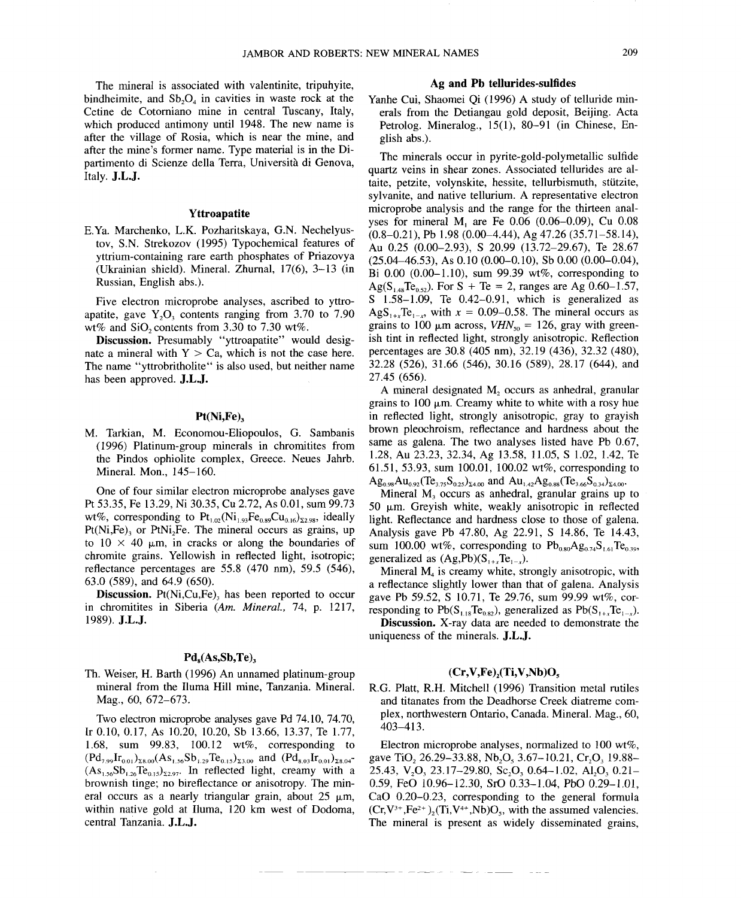The mineral is associated with valentinite, tripuhyite, bindheimite, and  $Sb_2O_4$  in cavities in waste rock at the Cetine de Cotorniano mine in central Tuscany, Italy, which produced antimony until 1948. The new name is after the village of Rosia, which is near the mine, and after the mine's former name. Type material is in the Dipartimento di Scienze delIa Terra, Universita di Genova, Italy. J.L.J.

#### Yttroapatite

E.Ya. Marchenko, L.K. Pozharitskaya, G.N. Nechelyustov, S.N. Strekozov (1995) Typochemical features of yttrium-containing rare earth phosphates of Priazovya (Ukrainian shield). Mineral. Zhurnal, 17(6), 3-13 (in Russian, English abs.).

Five electron microprobe analyses, ascribed to yttroapatite, gave  $Y_2O_3$  contents ranging from 3.70 to 7.90 wt% and SiO<sub>2</sub> contents from 3.30 to 7.30 wt%.

Discussion. Presumably "yttroapatite" would designate a mineral with  $Y > Ca$ , which is not the case here. The name "yttrobritholite" is also used, but neither name has been approved. J.L.J.

#### Pt(Ni,Fe)<sub>2</sub>

M. Tarkian, M. Economou-Eliopoulos, G. Sambanis (1996) Platinum-group minerals in chromitites from the Pindos ophiolite complex, Greece. Neues Jahrb. Mineral. Mon., 145-160.

One of four similar electron microprobe analyses gave Pt 53.35, Fe 13.29, Ni 30.35, Cu 2.72, As 0.01, sum 99.73 wt%, corresponding to  $Pt_{1,02}(Ni_{1,93}Fe_{0.89}Cu_{0.16})_{52.98}$ , ideally  $Pt(Ni,Fe)$ , or  $PtNi<sub>2</sub>Fe$ . The mineral occurs as grains, up to  $10 \times 40$  µm, in cracks or along the boundaries of chromite grains. Yellowish in reflected light, isotropic; reflectance percentages are 55.8 (470 nm), 59.5 (546), 63.0 (589), and 64.9 (650).

**Discussion.** Pt $(Ni, Cu, Fe)$ , has been reported to occur in chromitites in Siberia *(Am. Mineral.,* 74, p. 1217, 1989). J.L.J.

## $Pd_s(As, Sb, Te),$

Th. Weiser, H. Barth (1996) An unnamed platinum-group mineral from the Iluma Hill mine, Tanzania. Mineral. Mag., 60, 672–673.

Two electron microprobe analyses gave Pd 74.10, 74.70, Ir 0.10,0.17, As 10.20, 10.20, Sb 13.66, 13.37, Te 1.77, 1.68, sum 99.83, 100.12 wt%, corresponding to  $(Pd_{7.99}Ir_{0.01})_{\Sigma 8.00} (As_{1.56}Sb_{1.29}Te_{0.15})_{\Sigma 3.00}$  and  $(Pd_{8.03}Ir_{0.01})_{\Sigma 8.04}$  $(As<sub>1.56</sub>Sb<sub>1.26</sub>Te<sub>0.15</sub>)<sub>52.97</sub>$ . In reflected light, creamy with a brownish tinge; no bireflectance or anisotropy. The mineral occurs as a nearly triangular grain, about  $25 \mu m$ , within native gold at Iluma, 120 km west of Dodoma, central Tanzania. J.L.J.

#### Ag and Pb tellurides-sulfides

Yanhe Cui, Shaomei Qi (1996) A study of telluride minerals from the Detiangau gold deposit, Beijing. Acta Petrolog. Mineralog., 15(1), 80-91 (in Chinese, English abs.).

The minerals occur in pyrite-gold-polymetallic sulfide quartz veins in shear zones. Associated tellurides are altaite, petzite, volynskite, hessite, tellurbismuth, stiitzite, sylvanite, and native tellurium. A representative electron microprobe analysis and the range for the thirteen analyses for mineral M, are Fe 0.06 (0.06-0.09), Cu 0.08 (0.8-0.21), Pb 1.98 (0.00-4.44), Ag 47.26 (35.71-58.14), Au 0.25 (0.00-2.93), S 20.99 (13.72-29.67), Te 28.67  $(25.04-46.53)$ , As 0.10  $(0.00-0.10)$ , Sb 0.00  $(0.00-0.04)$ , Bi 0.00 (0.00-1.10), sum 99.39 wt%, corresponding to Ag( $S_{1,48}Te_{0.52}$ ). For S + Te = 2, ranges are Ag 0.60-1.57, S 1.58-1.09, Te 0.42-0.91, which is generalized as AgS<sub>1+x</sub>Te<sub>l-x</sub>, with  $x = 0.09 - 0.58$ . The mineral occurs as grains to 100  $\mu$ m across, *VHN*<sub>50</sub> = 126, gray with greenish tint in reflected light, strongly anisotropic. Reflection percentages are 30.8 (405 nm), 32.19 (436), 32.32 (480), 32.28 (526), 31.66 (546), 30.16 (589), 28.17 (644), and 27.45 (656).

A mineral designated  $M<sub>2</sub>$  occurs as anhedral, granular grains to 100  $\mu$ m. Creamy white to white with a rosy hue in reflected light, strongly anisotropic, gray to grayish brown pleochroism, reflectance and hardness about the same as galena. The two analyses listed have Pb 0.67, 1.28, Au 23.23, 32.34, Ag 13.58, 11.05, S 1.02, 1.42, Te 61.51,53.93, sum 100.01, 100.02 wt%, corresponding to  $Ag_{0.98}Au_{0.92}(Te_{3.75}S_{0.25})_{\bar{x}4.00}$  and  $Au_{1.42}Ag_{0.88}(Te_{3.66}S_{0.34})_{\bar{x}4.00}$ .

Mineral  $M<sub>3</sub>$  occurs as anhedral, granular grains up to 50  $\mu$ m. Greyish white, weakly anisotropic in reflected light. Reflectance and hardness close to those of galena. Analysis gave Pb 47.80, Ag 22.91, S 14.86, Te 14.43, sum 100.00 wt%, corresponding to  $Pb_{0.80}Ag_{0.74}S_{1.61}Te_{0.39}$ , generalized as  $(Ag,Pb)(S_{1+x}Te_{1-x}).$ 

Mineral  $M<sub>4</sub>$  is creamy white, strongly anisotropic, with a reflectance slightly lower than that of galena. Analysis gave Pb 59.52, S 10.71, Te 29.76, sum 99.99 wt%, corresponding to  $Pb(S_{118}Te_{082})$ , generalized as  $Pb(S_{1+x}Te_{1-x})$ .

Discussion. X-ray data are needed to demonstrate the uniqueness of the minerals. J.L.J.

## $(Cr, V, Fe)$ <sub>2</sub>(Ti,V,Nb)O<sub>5</sub>

R.G. Platt, R.H. Mitchell (1996) Transition metal rutiles and titanates from the Deadhorse Creek diatreme complex, northwestern Ontario, Canada. Mineral. Mag., 60, 403-413.

Electron microprobe analyses, normalized to 100 wt%, gave TiO<sub>2</sub> 26.29-33.88, Nb<sub>2</sub>O<sub>5</sub> 3.67-10.21, Cr<sub>2</sub>O<sub>2</sub> 19.88-25.43, V<sub>2</sub>O<sub>3</sub> 23.17-29.80, *Sc<sub>2</sub>O<sub>3</sub>* 0.64-1.02, Al<sub>2</sub>O<sub>3</sub> 0.21-0.59, FeO 10.96-12.30, SrO 0.33-1.04, PbO 0.29-1.01, CaO 0.20-0.23, corresponding to the general formula  $(Cr, V^{3+}, Fe^{2+})$ <sub>2</sub> $(Ti, V^{4+}, Nb)O_s$ , with the assumed valencies. The mineral is present as widely disseminated grains,

--.\_--